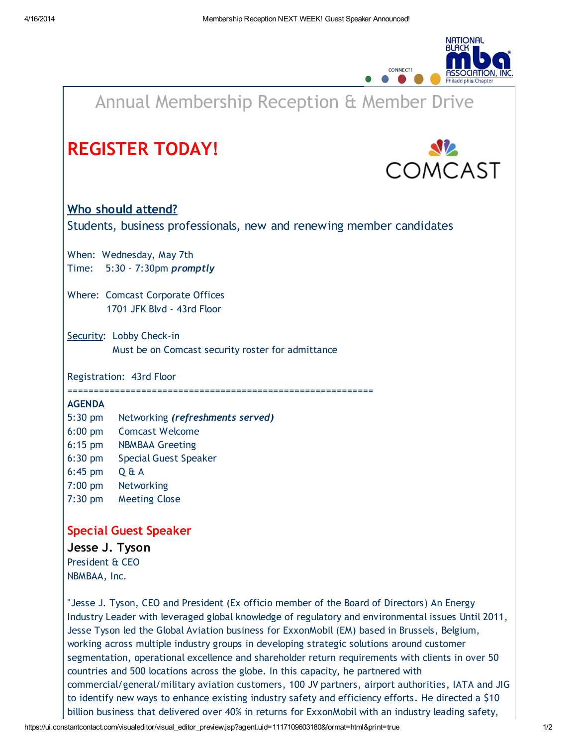

## Annual Membership Reception & Member Drive [REGISTER](http://r20.rs6.net/tn.jsp?e=001-XkYhbqqJImeZ42rSaUBWdRskJxxdPE1P9llHsZlwtBhIPOg_QEmoitpul08OrYHP2mJAJPCV5IGf3woIEKw7DRCfYyj0o0KUnIUHjXn6iCTo5TEHZiMp_0t2GkptXkw1zchlp3Mu20rjX1OeEImSq7EO1MhKRalAU0kuRnsGFeIcfB0ysFE8aIT7__dYH3ZwcEcHR6Ousu6JtNOLDamYQsIdRaeYL4w) TODAY! **OMCAST** Who should attend? Students, business professionals, new and renewing member candidates When: Wednesday, May 7th Time: 5:30 - 7:30pm promptly Where: Comcast Corporate Offices 1701 JFK Blvd - 43rd Floor Security: Lobby Check-in Must be on Comcast security roster for admittance Registration: 43rd Floor ========================================================== AGENDA 5:30 pm Networking (refreshments served) 6:00 pm Comcast Welcome 6:15 pm NBMBAA Greeting 6:30 pm Special Guest Speaker 6:45 pm Q & A 7:00 pm Networking 7:30 pm Meeting Close Special Guest Speaker Jesse J. [Tyson](http://r20.rs6.net/tn.jsp?e=001-XkYhbqqJImeZ42rSaUBWdRskJxxdPE1P9llHsZlwtBhIPOg_QEmoitpul08OrYH7dUFHNvrbo7mQr9r4LVY8LBxpRpveeavhPqu8-Bbth-ldfr_mndRsKOI7HgBR1Z43AR8Cs6Ngys=) President & CEO NBMBAA, Inc. "Jesse J. Tyson, CEO and President (Ex officio member of the Board of Directors) An Energy Industry Leader with leveraged global knowledge of regulatory and environmental issues Until 2011, Jesse Tyson led the Global Aviation business for ExxonMobil (EM) based in Brussels, Belgium, working across multiple industry groups in developing strategic solutions around customer segmentation, operational excellence and shareholder return requirements with clients in over 50 countries and 500 locations across the globe. In this capacity, he partnered with commercial/general/military aviation customers, 100 JV partners, airport authorities, IATA and JIG to identify new ways to enhance existing industry safety and efficiency efforts. He directed a \$10

billion business that delivered over 40% in returns for ExxonMobil with an industry leading safety,

https://ui.constantcontact.com/visualeditor/visual\_editor\_preview.jsp?agent.uid=1117109603180&format=html&print=true 1/2